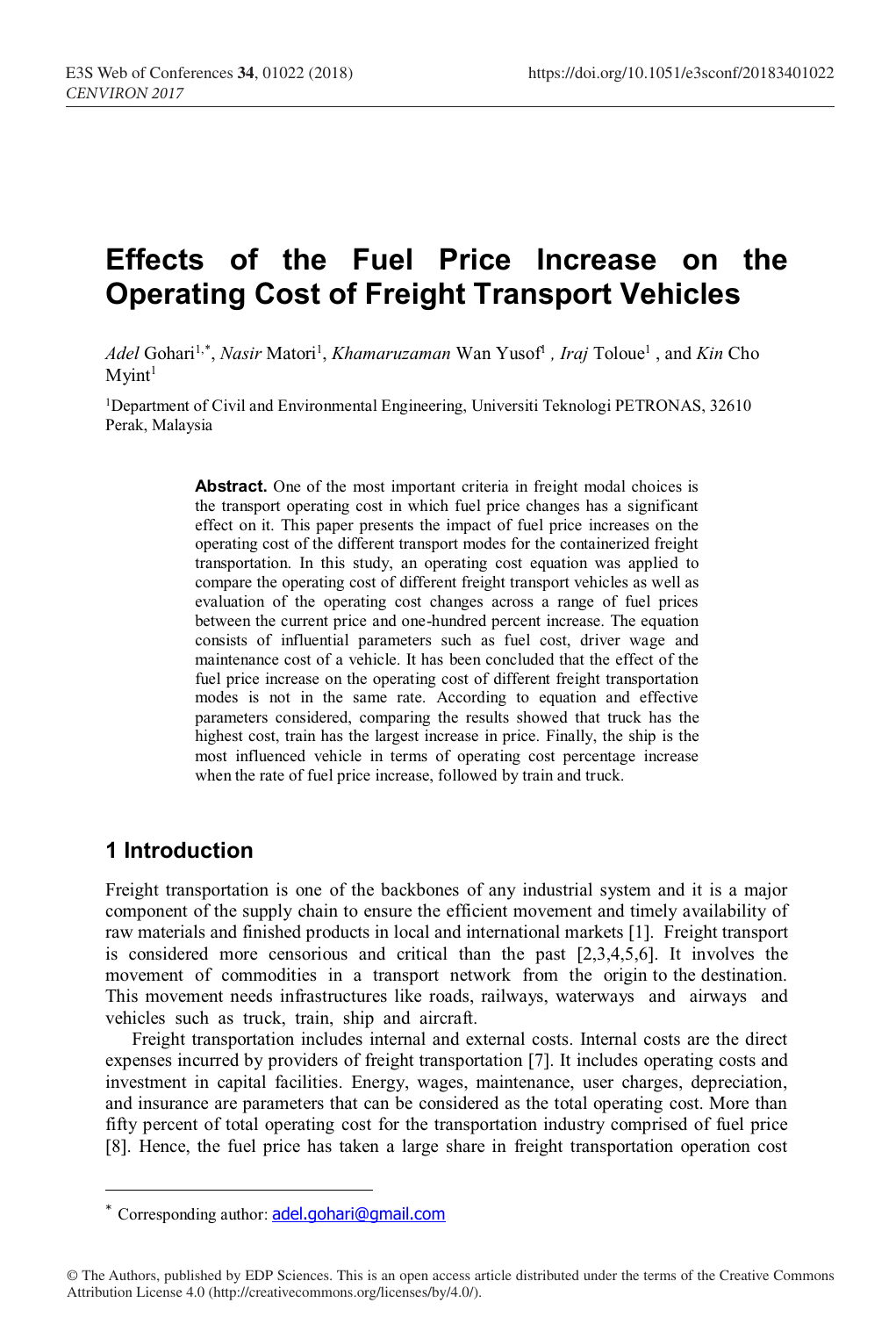# **Effects of the Fuel Price Increase on the Operating Cost of Freight Transport Vehicles**

Adel Gohari<sup>1,\*</sup>, *Nasir* Matori<sup>1</sup>, *Khamaruzaman* Wan Yusof<sup>1</sup>, *Iraj* Toloue<sup>1</sup>, and *Kin* Cho  $M$ yint<sup>1</sup>

1Department of Civil and Environmental Engineering, Universiti Teknologi PETRONAS, 32610 Perak, Malaysia

> Abstract. One of the most important criteria in freight modal choices is the transport operating cost in which fuel price changes has a significant effect on it. This paper presents the impact of fuel price increases on the operating cost of the different transport modes for the containerized freight transportation. In this study, an operating cost equation was applied to compare the operating cost of different freight transport vehicles as well as evaluation of the operating cost changes across a range of fuel prices between the current price and one-hundred percent increase. The equation consists of influential parameters such as fuel cost, driver wage and maintenance cost of a vehicle. It has been concluded that the effect of the fuel price increase on the operating cost of different freight transportation modes is not in the same rate. According to equation and effective parameters considered, comparing the results showed that truck has the highest cost, train has the largest increase in price. Finally, the ship is the most influenced vehicle in terms of operating cost percentage increase when the rate of fuel price increase, followed by train and truck.

### **1 Introduction**

ł

Freight transportation is one of the backbones of any industrial system and it is a major component of the supply chain to ensure the efficient movement and timely availability of raw materials and finished products in local and international markets [1]. Freight transport is considered more censorious and critical than the past [2,3,4,5,6]. It involves the movement of commodities in a transport network from the origin to the destination. This movement needs infrastructures like roads, railways, waterways and airways and vehicles such as truck, train, ship and aircraft.

Freight transportation includes internal and external costs. Internal costs are the direct expenses incurred by providers of freight transportation [7]. It includes operating costs and investment in capital facilities. Energy, wages, maintenance, user charges, depreciation, and insurance are parameters that can be considered as the total operating cost. More than fifty percent of total operating cost for the transportation industry comprised of fuel price [8]. Hence, the fuel price has taken a large share in freight transportation operation cost

<sup>\*</sup> Corresponding author: adel.gohari@gmail.com

<sup>©</sup> The Authors, published by EDP Sciences. This is an open access article distributed under the terms of the Creative Commons Attribution License 4.0 (http://creativecommons.org/licenses/by/4.0/).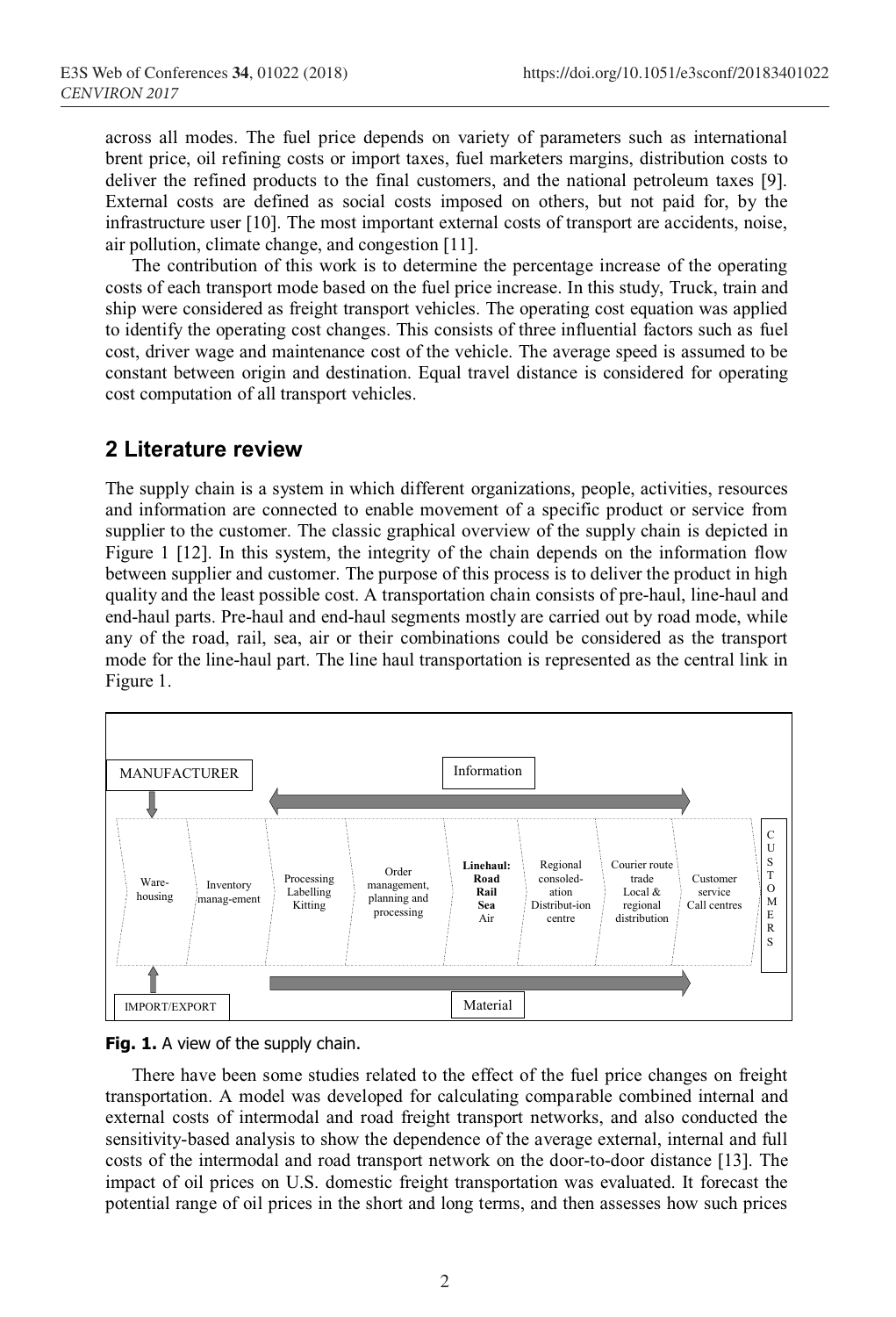across all modes. The fuel price depends on variety of parameters such as international brent price, oil refining costs or import taxes, fuel marketers margins, distribution costs to deliver the refined products to the final customers, and the national petroleum taxes [9]. External costs are defined as social costs imposed on others, but not paid for, by the infrastructure user [10]. The most important external costs of transport are accidents, noise, air pollution, climate change, and congestion [11].

The contribution of this work is to determine the percentage increase of the operating costs of each transport mode based on the fuel price increase. In this study, Truck, train and ship were considered as freight transport vehicles. The operating cost equation was applied to identify the operating cost changes. This consists of three influential factors such as fuel cost, driver wage and maintenance cost of the vehicle. The average speed is assumed to be constant between origin and destination. Equal travel distance is considered for operating cost computation of all transport vehicles.

#### **2 Literature review**

The supply chain is a system in which different organizations, people, activities, resources and information are connected to enable movement of a specific product or service from supplier to the customer. The classic graphical overview of the supply chain is depicted in Figure 1 [12]. In this system, the integrity of the chain depends on the information flow between supplier and customer. The purpose of this process is to deliver the product in high quality and the least possible cost. A transportation chain consists of pre-haul, line-haul and end-haul parts. Pre-haul and end-haul segments mostly are carried out by road mode, while any of the road, rail, sea, air or their combinations could be considered as the transport mode for the line-haul part. The line haul transportation is represented as the central link in Figure 1.





There have been some studies related to the effect of the fuel price changes on freight transportation. A model was developed for calculating comparable combined internal and external costs of intermodal and road freight transport networks, and also conducted the sensitivity-based analysis to show the dependence of the average external, internal and full costs of the intermodal and road transport network on the door-to-door distance [13]. The impact of oil prices on U.S. domestic freight transportation was evaluated. It forecast the potential range of oil prices in the short and long terms, and then assesses how such prices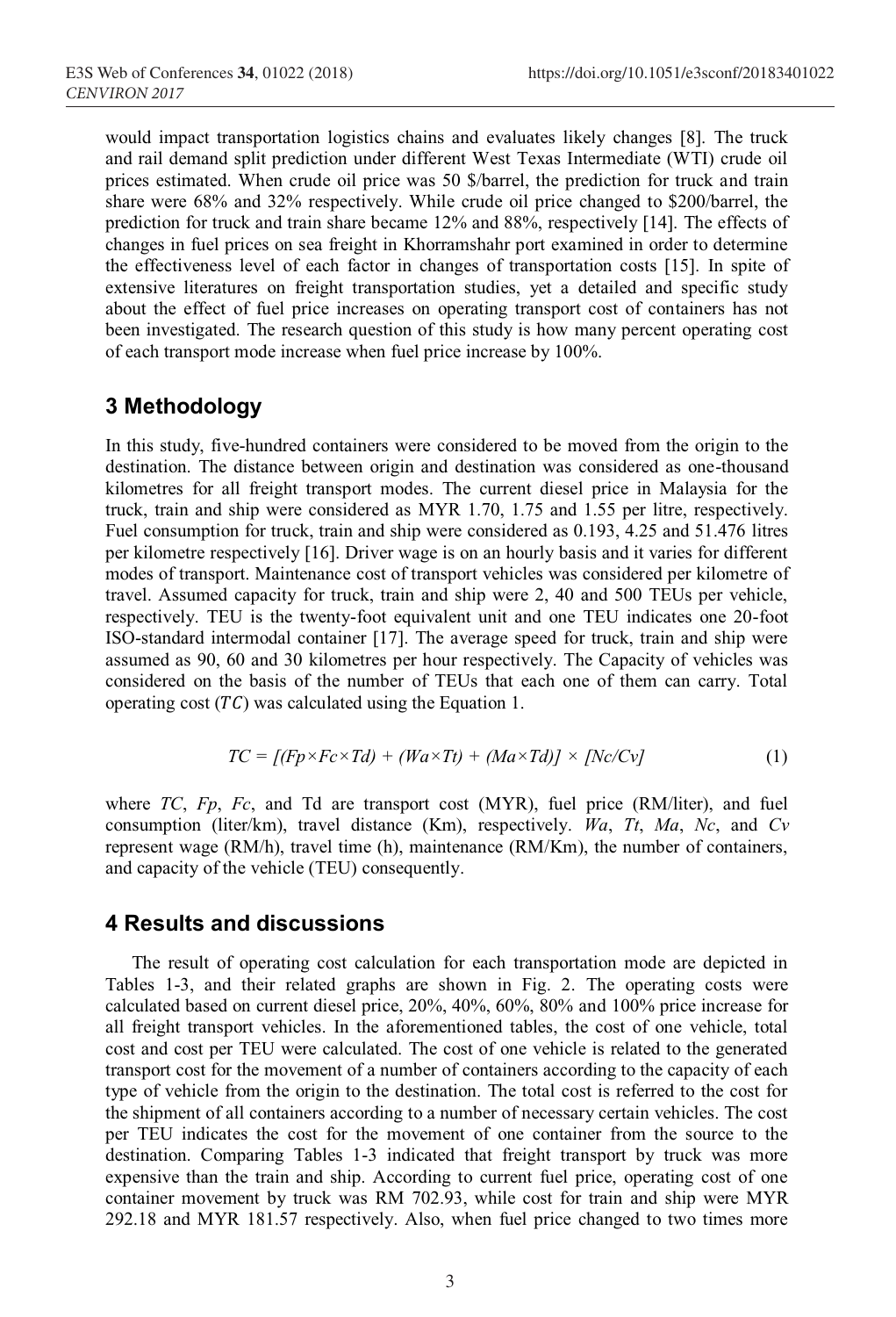would impact transportation logistics chains and evaluates likely changes [8]. The truck and rail demand split prediction under different West Texas Intermediate (WTI) crude oil prices estimated. When crude oil price was 50 \$/barrel, the prediction for truck and train share were 68% and 32% respectively. While crude oil price changed to \$200/barrel, the prediction for truck and train share became 12% and 88%, respectively [14]. The effects of changes in fuel prices on sea freight in Khorramshahr port examined in order to determine the effectiveness level of each factor in changes of transportation costs [15]. In spite of extensive literatures on freight transportation studies, yet a detailed and specific study about the effect of fuel price increases on operating transport cost of containers has not been investigated. The research question of this study is how many percent operating cost of each transport mode increase when fuel price increase by 100%.

#### **3 Methodology**

In this study, five-hundred containers were considered to be moved from the origin to the destination. The distance between origin and destination was considered as one-thousand kilometres for all freight transport modes. The current diesel price in Malaysia for the truck, train and ship were considered as MYR 1.70, 1.75 and 1.55 per litre, respectively. Fuel consumption for truck, train and ship were considered as 0.193, 4.25 and 51.476 litres per kilometre respectively [16]. Driver wage is on an hourly basis and it varies for different modes of transport. Maintenance cost of transport vehicles was considered per kilometre of travel. Assumed capacity for truck, train and ship were 2, 40 and 500 TEUs per vehicle, respectively. TEU is the twenty-foot equivalent unit and one TEU indicates one 20-foot ISO-standard intermodal container [17]. The average speed for truck, train and ship were assumed as 90, 60 and 30 kilometres per hour respectively. The Capacity of vehicles was considered on the basis of the number of TEUs that each one of them can carry. Total operating cost  $(TC)$  was calculated using the Equation 1.

$$
TC = [(Fp \times Fc \times Td) + (Wa \times Tt) + (Ma \times Td)] \times [Nc/Cv]
$$
\n(1)

where *TC*, *Fp*, *Fc*, and Td are transport cost (MYR), fuel price (RM/liter), and fuel consumption (liter/km), travel distance (Km), respectively. *Wa*, *Tt*, *Ma*, *Nc*, and *Cv* represent wage (RM/h), travel time (h), maintenance (RM/Km), the number of containers, and capacity of the vehicle (TEU) consequently.

#### **4 Results and discussions**

The result of operating cost calculation for each transportation mode are depicted in Tables 1-3, and their related graphs are shown in Fig. 2. The operating costs were calculated based on current diesel price, 20%, 40%, 60%, 80% and 100% price increase for all freight transport vehicles. In the aforementioned tables, the cost of one vehicle, total cost and cost per TEU were calculated. The cost of one vehicle is related to the generated transport cost for the movement of a number of containers according to the capacity of each type of vehicle from the origin to the destination. The total cost is referred to the cost for the shipment of all containers according to a number of necessary certain vehicles. The cost per TEU indicates the cost for the movement of one container from the source to the destination. Comparing Tables 1-3 indicated that freight transport by truck was more expensive than the train and ship. According to current fuel price, operating cost of one container movement by truck was RM 702.93, while cost for train and ship were MYR 292.18 and MYR 181.57 respectively. Also, when fuel price changed to two times more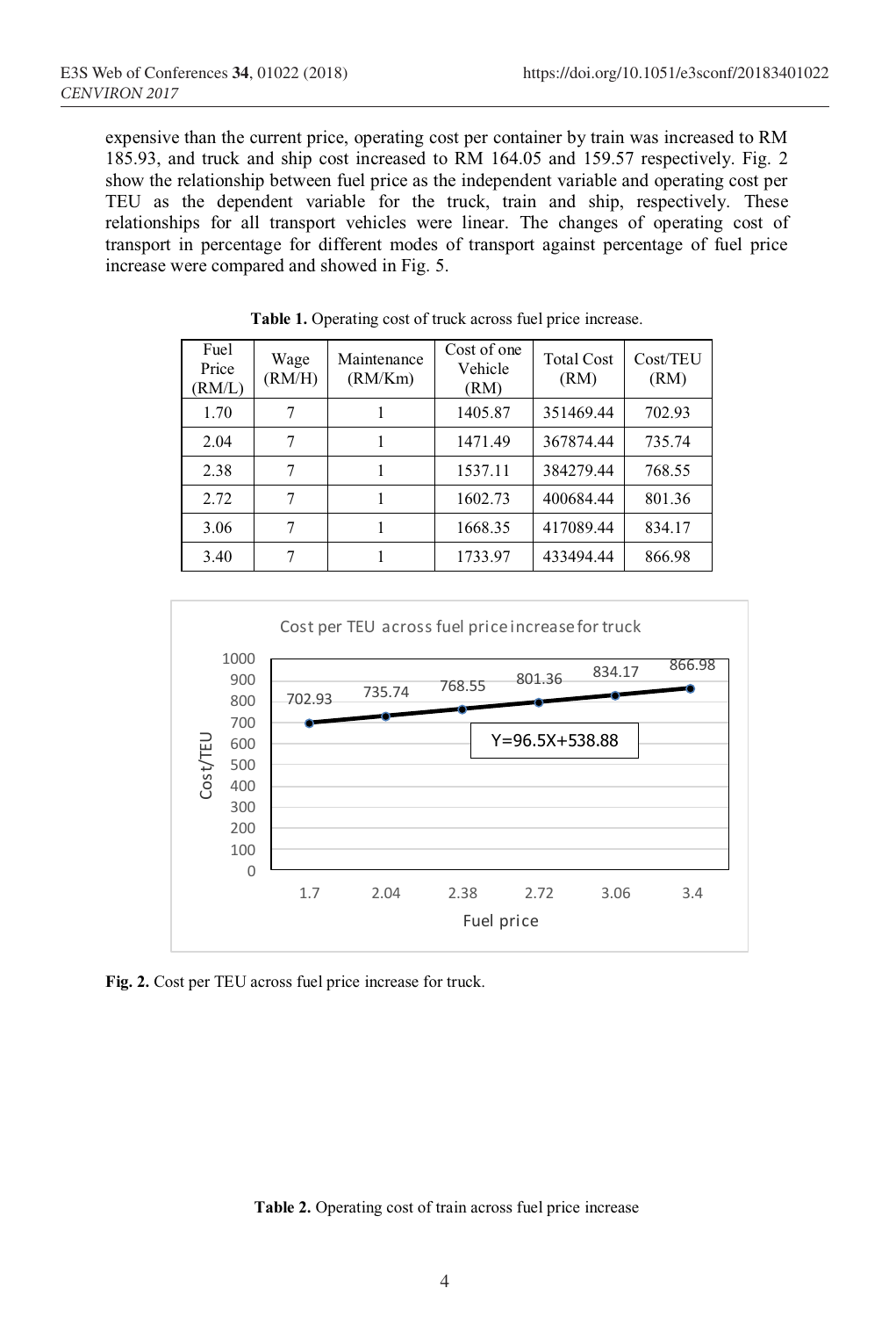expensive than the current price, operating cost per container by train was increased to RM 185.93, and truck and ship cost increased to RM 164.05 and 159.57 respectively. Fig. 2 show the relationship between fuel price as the independent variable and operating cost per TEU as the dependent variable for the truck, train and ship, respectively. These relationships for all transport vehicles were linear. The changes of operating cost of transport in percentage for different modes of transport against percentage of fuel price increase were compared and showed in Fig. 5.

| Fuel<br>Price<br>(RM/L) | Wage<br>(RM/H) | Maintenance<br>(RM/Km) | Cost of one<br>Vehicle<br>(RM) | <b>Total Cost</b><br>(RM) | Cost/TEU<br>(RM) |
|-------------------------|----------------|------------------------|--------------------------------|---------------------------|------------------|
| 1.70                    |                |                        | 1405.87                        | 351469.44                 | 702.93           |
| 2.04                    |                |                        | 1471.49                        | 367874.44                 | 735.74           |
| 2.38                    |                |                        | 1537.11                        | 384279.44                 | 768.55           |
| 2.72                    | 7              |                        | 1602.73                        | 400684.44                 | 801.36           |
| 3.06                    |                |                        | 1668.35                        | 417089.44                 | 834.17           |
| 3.40                    |                |                        | 1733.97                        | 433494.44                 | 866.98           |

**Table 1.** Operating cost of truck across fuel price increase.



**Fig. 2.** Cost per TEU across fuel price increase for truck.

**Table 2.** Operating cost of train across fuel price increase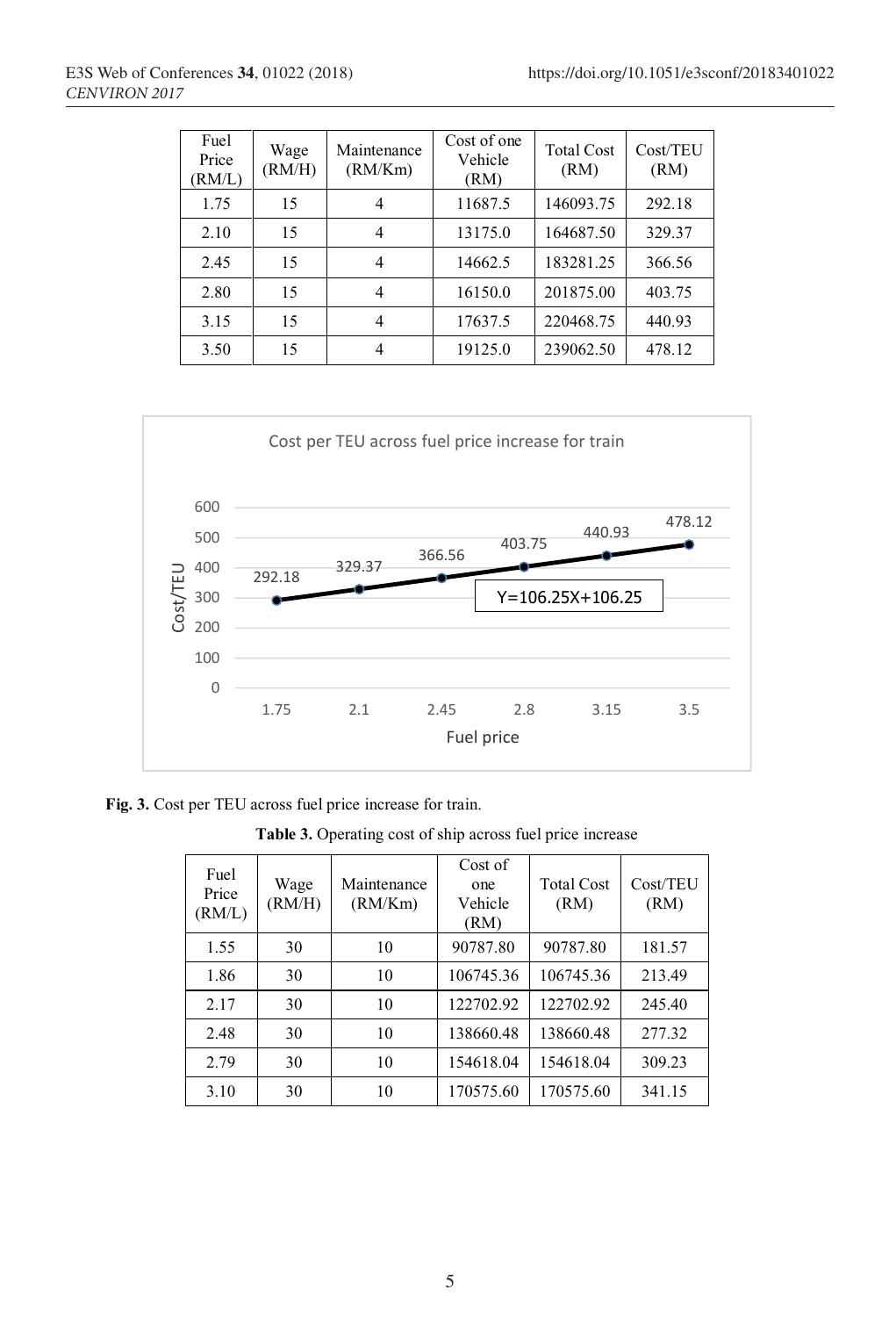| Fuel<br>Price<br>RM/L) | Wage<br>(RM/H) | Maintenance<br>(RM/Km) | Cost of one<br>Vehicle<br>(RM) | <b>Total Cost</b><br>(RM) | Cost/TEU<br>(RM) |
|------------------------|----------------|------------------------|--------------------------------|---------------------------|------------------|
| 1.75                   | 15             | 4                      | 11687.5                        | 146093.75                 | 292.18           |
| 2.10                   | 15             | 4                      | 13175.0                        | 164687.50                 | 329.37           |
| 2.45                   | 15             | 4                      | 14662.5                        | 183281.25                 | 366.56           |
| 2.80                   | 15             | 4                      | 16150.0                        | 201875.00                 | 403.75           |
| 3.15                   | 15             | 4                      | 17637.5                        | 220468.75                 | 440.93           |
| 3.50                   | 15             | 4                      | 19125.0                        | 239062.50                 | 478.12           |



**Fig. 3.** Cost per TEU across fuel price increase for train.

**Table 3.** Operating cost of ship across fuel price increase

| Fuel<br>Price<br>(RM/L) | Wage<br>(RM/H) | Maintenance<br>(RM/Km) | Cost of<br>one<br>Vehicle<br>(RM) | <b>Total Cost</b><br>(RM) | Cost/TEU<br>(RM) |
|-------------------------|----------------|------------------------|-----------------------------------|---------------------------|------------------|
| 1.55                    | 30             | 10                     | 90787.80                          | 90787.80                  | 181.57           |
| 1.86                    | 30             | 10                     | 106745.36                         | 106745.36                 | 213.49           |
| 2.17                    | 30             | 10                     | 122702.92                         | 122702.92                 | 245.40           |
| 2.48                    | 30             | 10                     | 138660.48                         | 138660.48                 | 277.32           |
| 2.79                    | 30             | 10                     | 154618.04                         | 154618.04                 | 309.23           |
| 3.10                    | 30             | 10                     | 170575.60                         | 170575.60                 | 341.15           |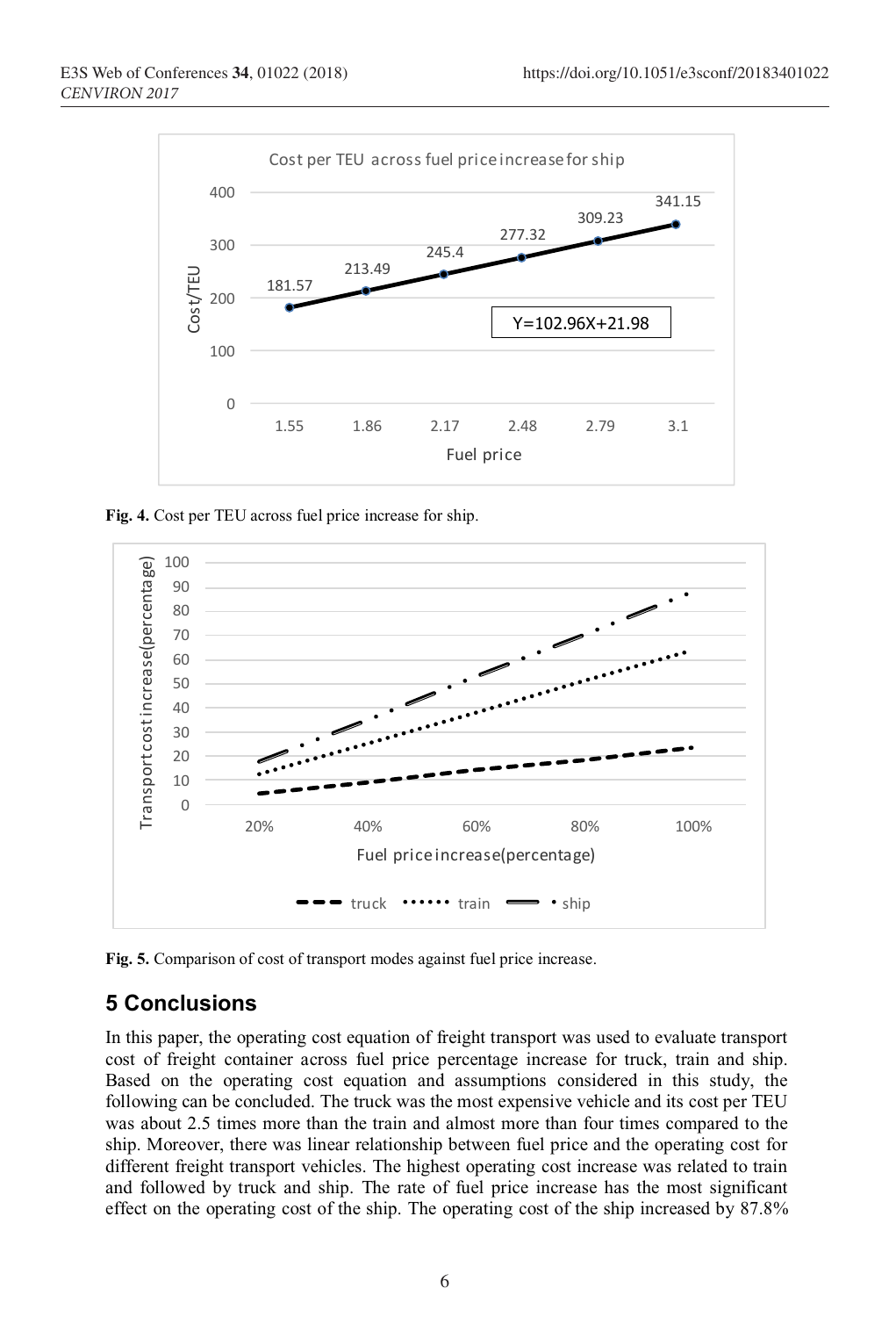

**Fig. 4.** Cost per TEU across fuel price increase for ship.



**Fig. 5.** Comparison of cost of transport modes against fuel price increase.

## **5 Conclusions**

In this paper, the operating cost equation of freight transport was used to evaluate transport cost of freight container across fuel price percentage increase for truck, train and ship. Based on the operating cost equation and assumptions considered in this study, the following can be concluded. The truck was the most expensive vehicle and its cost per TEU was about 2.5 times more than the train and almost more than four times compared to the ship. Moreover, there was linear relationship between fuel price and the operating cost for different freight transport vehicles. The highest operating cost increase was related to train and followed by truck and ship. The rate of fuel price increase has the most significant effect on the operating cost of the ship. The operating cost of the ship increased by 87.8%